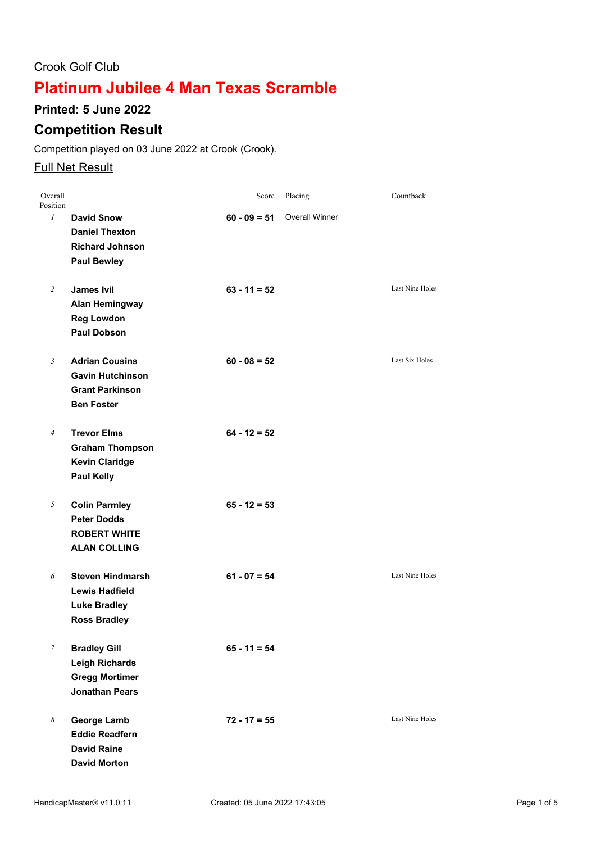## Crook Golf Club

# **Platinum Jubilee 4 Man Texas Scramble**

### **Printed: 5 June 2022**

## **Competition Result**

Competition played on 03 June 2022 at Crook (Crook).

### **Full Net Result**

| Overall<br>Position |                                                                                                 | Score          | Placing               | Countback              |
|---------------------|-------------------------------------------------------------------------------------------------|----------------|-----------------------|------------------------|
| $\mathcal{I}$       | <b>David Snow</b><br><b>Daniel Thexton</b><br><b>Richard Johnson</b><br><b>Paul Bewley</b>      | $60 - 09 = 51$ | <b>Overall Winner</b> |                        |
| $\overline{2}$      | <b>James Ivil</b><br><b>Alan Hemingway</b><br><b>Reg Lowdon</b><br><b>Paul Dobson</b>           | $63 - 11 = 52$ |                       | Last Nine Holes        |
| $\mathfrak{Z}$      | <b>Adrian Cousins</b><br><b>Gavin Hutchinson</b><br><b>Grant Parkinson</b><br><b>Ben Foster</b> | $60 - 08 = 52$ |                       | Last Six Holes         |
| $\overline{4}$      | <b>Trevor Elms</b><br><b>Graham Thompson</b><br><b>Kevin Claridge</b><br><b>Paul Kelly</b>      | $64 - 12 = 52$ |                       |                        |
| 5                   | <b>Colin Parmley</b><br><b>Peter Dodds</b><br><b>ROBERT WHITE</b><br><b>ALAN COLLING</b>        | $65 - 12 = 53$ |                       |                        |
| 6                   | <b>Steven Hindmarsh</b><br><b>Lewis Hadfield</b><br><b>Luke Bradley</b><br><b>Ross Bradley</b>  | $61 - 07 = 54$ |                       | <b>Last Nine Holes</b> |
| $\mathcal{I}$       | <b>Bradley Gill</b><br><b>Leigh Richards</b><br><b>Gregg Mortimer</b><br><b>Jonathan Pears</b>  | $65 - 11 = 54$ |                       |                        |
| 8                   | <b>George Lamb</b><br><b>Eddie Readfern</b><br><b>David Raine</b><br><b>David Morton</b>        | $72 - 17 = 55$ |                       | <b>Last Nine Holes</b> |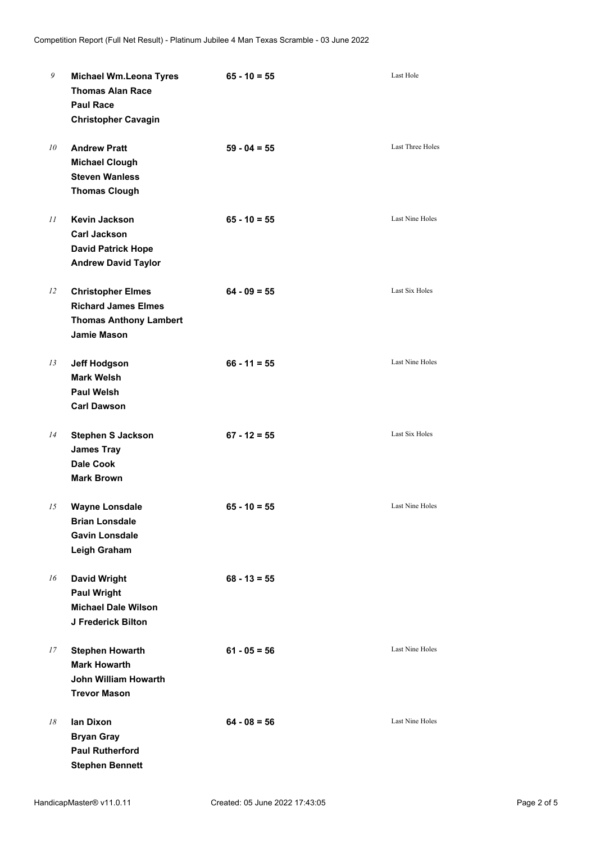| 9  | <b>Michael Wm.Leona Tyres</b><br><b>Thomas Alan Race</b><br><b>Paul Race</b><br><b>Christopher Cavagin</b>    | $65 - 10 = 55$ | Last Hole              |
|----|---------------------------------------------------------------------------------------------------------------|----------------|------------------------|
| 10 | <b>Andrew Pratt</b><br><b>Michael Clough</b><br><b>Steven Wanless</b><br><b>Thomas Clough</b>                 | $59 - 04 = 55$ | Last Three Holes       |
| 11 | <b>Kevin Jackson</b><br><b>Carl Jackson</b><br><b>David Patrick Hope</b><br><b>Andrew David Taylor</b>        | $65 - 10 = 55$ | Last Nine Holes        |
| 12 | <b>Christopher Elmes</b><br><b>Richard James Elmes</b><br><b>Thomas Anthony Lambert</b><br><b>Jamie Mason</b> | $64 - 09 = 55$ | Last Six Holes         |
| 13 | <b>Jeff Hodgson</b><br><b>Mark Welsh</b><br><b>Paul Welsh</b><br><b>Carl Dawson</b>                           | $66 - 11 = 55$ | <b>Last Nine Holes</b> |
| 14 | <b>Stephen S Jackson</b><br><b>James Tray</b><br><b>Dale Cook</b><br><b>Mark Brown</b>                        | $67 - 12 = 55$ | Last Six Holes         |
| 15 | <b>Wayne Lonsdale</b><br><b>Brian Lonsdale</b><br><b>Gavin Lonsdale</b><br>Leigh Graham                       | $65 - 10 = 55$ | <b>Last Nine Holes</b> |
| 16 | <b>David Wright</b><br><b>Paul Wright</b><br><b>Michael Dale Wilson</b><br>J Frederick Bilton                 | $68 - 13 = 55$ |                        |
| 17 | <b>Stephen Howarth</b><br><b>Mark Howarth</b><br>John William Howarth<br><b>Trevor Mason</b>                  | $61 - 05 = 56$ | Last Nine Holes        |
| 18 | lan Dixon<br><b>Bryan Gray</b><br><b>Paul Rutherford</b><br><b>Stephen Bennett</b>                            | $64 - 08 = 56$ | Last Nine Holes        |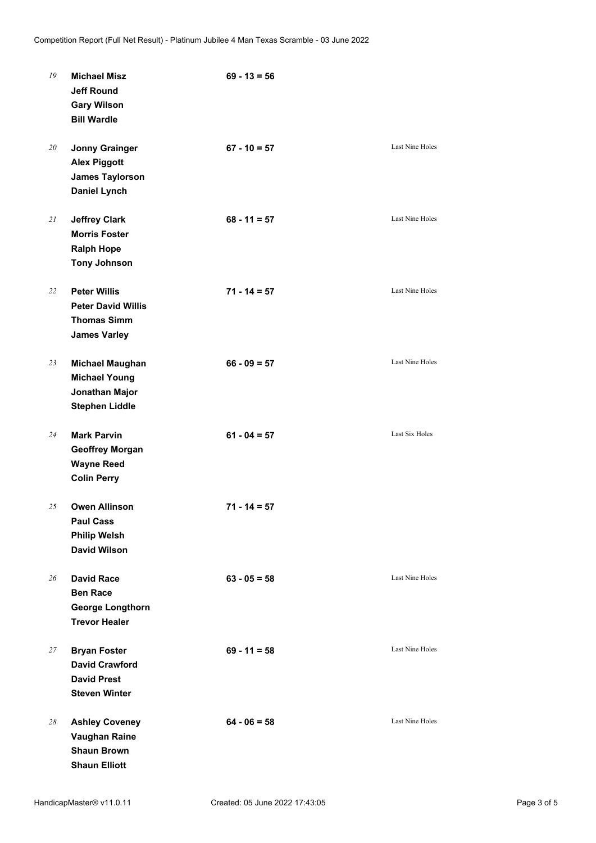| 19 | <b>Michael Misz</b><br><b>Jeff Round</b><br><b>Gary Wilson</b><br><b>Bill Wardle</b>          | $69 - 13 = 56$ |                        |
|----|-----------------------------------------------------------------------------------------------|----------------|------------------------|
| 20 | <b>Jonny Grainger</b><br><b>Alex Piggott</b><br><b>James Taylorson</b><br><b>Daniel Lynch</b> | $67 - 10 = 57$ | Last Nine Holes        |
| 21 | <b>Jeffrey Clark</b><br><b>Morris Foster</b><br><b>Ralph Hope</b><br><b>Tony Johnson</b>      | $68 - 11 = 57$ | Last Nine Holes        |
| 22 | <b>Peter Willis</b><br><b>Peter David Willis</b><br><b>Thomas Simm</b><br><b>James Varley</b> | $71 - 14 = 57$ | <b>Last Nine Holes</b> |
| 23 | <b>Michael Maughan</b><br><b>Michael Young</b><br>Jonathan Major<br><b>Stephen Liddle</b>     | $66 - 09 = 57$ | Last Nine Holes        |
| 24 | <b>Mark Parvin</b><br><b>Geoffrey Morgan</b><br><b>Wayne Reed</b><br><b>Colin Perry</b>       | $61 - 04 = 57$ | Last Six Holes         |
| 25 | <b>Owen Allinson</b><br><b>Paul Cass</b><br><b>Philip Welsh</b><br><b>David Wilson</b>        | $71 - 14 = 57$ |                        |
| 26 | <b>David Race</b><br><b>Ben Race</b><br><b>George Longthorn</b><br><b>Trevor Healer</b>       | $63 - 05 = 58$ | <b>Last Nine Holes</b> |
| 27 | <b>Bryan Foster</b><br><b>David Crawford</b><br><b>David Prest</b><br><b>Steven Winter</b>    | $69 - 11 = 58$ | Last Nine Holes        |
| 28 | <b>Ashley Coveney</b><br><b>Vaughan Raine</b><br><b>Shaun Brown</b><br><b>Shaun Elliott</b>   | $64 - 06 = 58$ | Last Nine Holes        |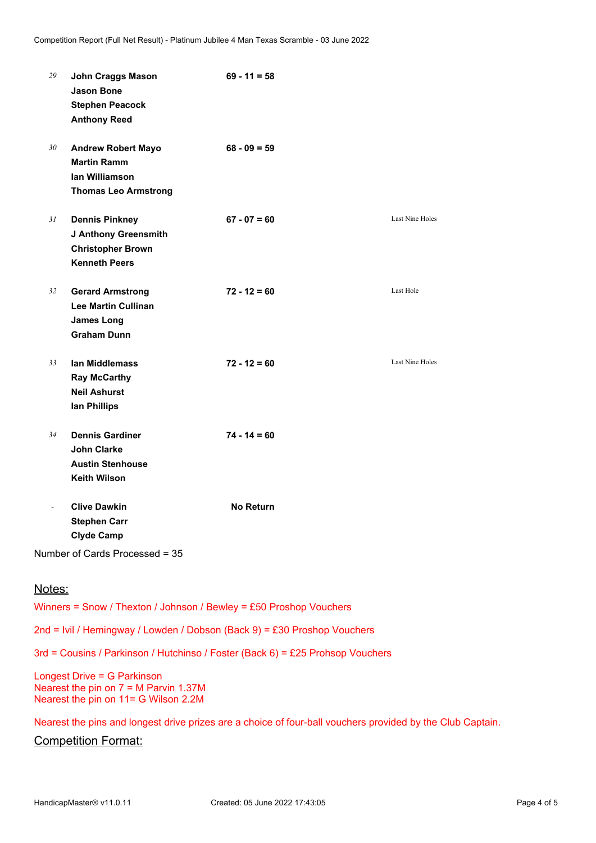| 29             | <b>John Craggs Mason</b><br><b>Jason Bone</b><br><b>Stephen Peacock</b><br><b>Anthony Reed</b>    | $69 - 11 = 58$ |                        |
|----------------|---------------------------------------------------------------------------------------------------|----------------|------------------------|
| 30             | <b>Andrew Robert Mayo</b><br><b>Martin Ramm</b><br>lan Williamson<br><b>Thomas Leo Armstrong</b>  | $68 - 09 = 59$ |                        |
| 31             | <b>Dennis Pinkney</b><br>J Anthony Greensmith<br><b>Christopher Brown</b><br><b>Kenneth Peers</b> | $67 - 07 = 60$ | Last Nine Holes        |
| 32             | <b>Gerard Armstrong</b><br><b>Lee Martin Cullinan</b><br><b>James Long</b><br><b>Graham Dunn</b>  | $72 - 12 = 60$ | Last Hole              |
| 33             | lan Middlemass<br><b>Ray McCarthy</b><br><b>Neil Ashurst</b><br>lan Phillips                      | $72 - 12 = 60$ | <b>Last Nine Holes</b> |
| 34             | <b>Dennis Gardiner</b><br><b>John Clarke</b><br><b>Austin Stenhouse</b><br><b>Keith Wilson</b>    | $74 - 14 = 60$ |                        |
| $\overline{a}$ | <b>Clive Dawkin</b><br><b>Stephen Carr</b><br><b>Clyde Camp</b><br>Number of Cards Processed = 35 | No Return      |                        |

Notes:

Winners = Snow / Thexton / Johnson / Bewley = £50 Proshop Vouchers

2nd = Ivil / Hemingway / Lowden / Dobson (Back 9) = £30 Proshop Vouchers

3rd = Cousins / Parkinson / Hutchinso / Foster (Back 6) = £25 Prohsop Vouchers

Longest Drive = G Parkinson Nearest the pin on 7 = M Parvin 1.37M Nearest the pin on 11= G Wilson 2.2M

Nearest the pins and longest drive prizes are a choice of four-ball vouchers provided by the Club Captain.

Competition Format: